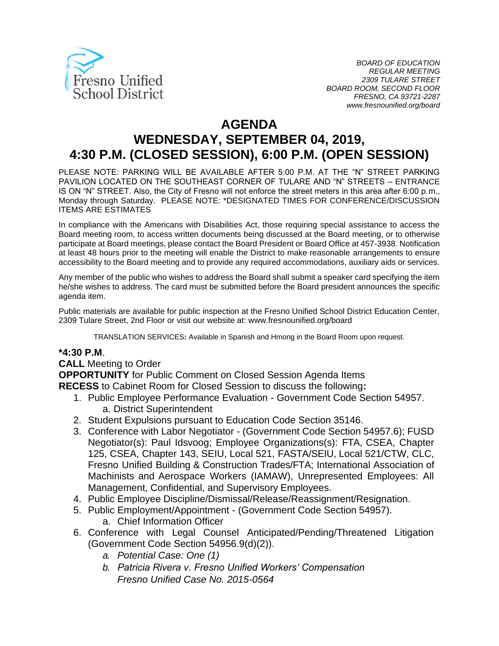

# **AGENDA**

# **WEDNESDAY, SEPTEMBER 04, 2019, 4:30 P.M. (CLOSED SESSION), 6:00 P.M. (OPEN SESSION)**

PLEASE NOTE: PARKING WILL BE AVAILABLE AFTER 5:00 P.M. AT THE "N" STREET PARKING PAVILION LOCATED ON THE SOUTHEAST CORNER OF TULARE AND "N" STREETS – ENTRANCE IS ON "N" STREET. Also, the City of Fresno will not enforce the street meters in this area after 6:00 p.m., Monday through Saturday. PLEASE NOTE: \*DESIGNATED TIMES FOR CONFERENCE/DISCUSSION ITEMS ARE ESTIMATES

In compliance with the Americans with Disabilities Act, those requiring special assistance to access the Board meeting room, to access written documents being discussed at the Board meeting, or to otherwise participate at Board meetings, please contact the Board President or Board Office at 457-3938. Notification at least 48 hours prior to the meeting will enable the District to make reasonable arrangements to ensure accessibility to the Board meeting and to provide any required accommodations, auxiliary aids or services.

Any member of the public who wishes to address the Board shall submit a speaker card specifying the item he/she wishes to address. The card must be submitted before the Board president announces the specific agenda item.

Public materials are available for public inspection at the Fresno Unified School District Education Center, 2309 Tulare Street, 2nd Floor or visit our website at: www.fresnounified.org/board

TRANSLATION SERVICES**:** Available in Spanish and Hmong in the Board Room upon request.

#### **\*4:30 P.M**.

#### **CALL** Meeting to Order

**OPPORTUNITY** for Public Comment on Closed Session Agenda Items **RECESS** to Cabinet Room for Closed Session to discuss the following**:**

- 1. Public Employee Performance Evaluation Government Code Section 54957. a. District Superintendent
- 2. Student Expulsions pursuant to Education Code Section 35146.
- 3. Conference with Labor Negotiator (Government Code Section 54957.6); FUSD Negotiator(s): Paul Idsvoog; Employee Organizations(s): FTA, CSEA, Chapter 125, CSEA, Chapter 143, SEIU, Local 521, FASTA/SEIU, Local 521/CTW, CLC, Fresno Unified Building & Construction Trades/FTA; International Association of Machinists and Aerospace Workers (IAMAW), Unrepresented Employees: All Management, Confidential, and Supervisory Employees.
- 4. Public Employee Discipline/Dismissal/Release/Reassignment/Resignation.
- 5. Public Employment/Appointment (Government Code Section 54957).
	- a. Chief Information Officer
- 6. Conference with Legal Counsel Anticipated/Pending/Threatened Litigation (Government Code Section 54956.9(d)(2)).
	- *a. Potential Case: One (1)*
	- *b. Patricia Rivera v. Fresno Unified Workers' Compensation Fresno Unified Case No. 2015-0564*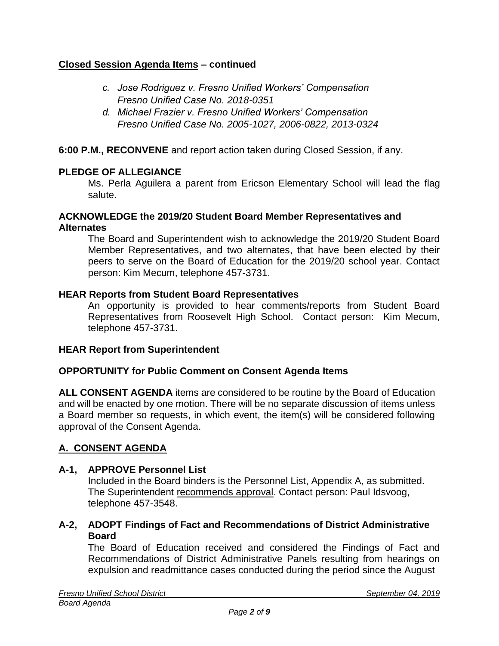## **Closed Session Agenda Items – continued**

- *c. Jose Rodriguez v. Fresno Unified Workers' Compensation Fresno Unified Case No. 2018-0351*
- *d. Michael Frazier v. Fresno Unified Workers' Compensation Fresno Unified Case No. 2005-1027, 2006-0822, 2013-0324*

**6:00 P.M., RECONVENE** and report action taken during Closed Session, if any.

#### **PLEDGE OF ALLEGIANCE**

Ms. Perla Aguilera a parent from Ericson Elementary School will lead the flag salute.

#### **ACKNOWLEDGE the 2019/20 Student Board Member Representatives and Alternates**

The Board and Superintendent wish to acknowledge the 2019/20 Student Board Member Representatives, and two alternates, that have been elected by their peers to serve on the Board of Education for the 2019/20 school year. Contact person: Kim Mecum, telephone 457-3731.

#### **HEAR Reports from Student Board Representatives**

An opportunity is provided to hear comments/reports from Student Board Representatives from Roosevelt High School. Contact person: Kim Mecum, telephone 457-3731.

#### **HEAR Report from Superintendent**

#### **OPPORTUNITY for Public Comment on Consent Agenda Items**

**ALL CONSENT AGENDA** items are considered to be routine by the Board of Education and will be enacted by one motion. There will be no separate discussion of items unless a Board member so requests, in which event, the item(s) will be considered following approval of the Consent Agenda.

#### **A. CONSENT AGENDA**

#### **A-1, APPROVE Personnel List**

Included in the Board binders is the Personnel List, Appendix A, as submitted. The Superintendent recommends approval. Contact person: Paul Idsvoog, telephone 457-3548.

#### **A-2, ADOPT Findings of Fact and Recommendations of District Administrative Board**

The Board of Education received and considered the Findings of Fact and Recommendations of District Administrative Panels resulting from hearings on expulsion and readmittance cases conducted during the period since the August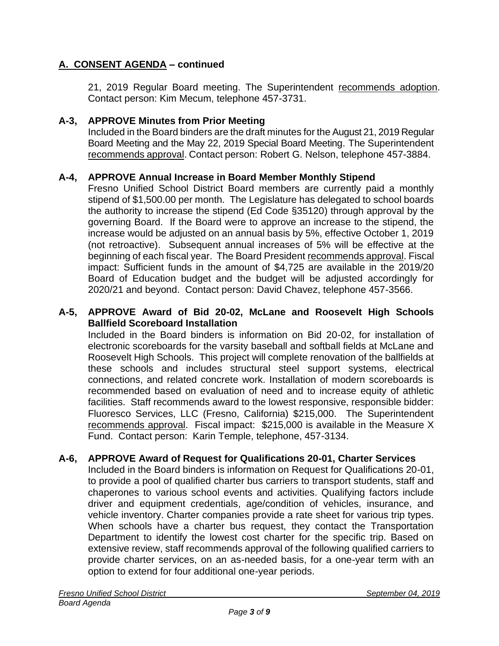21, 2019 Regular Board meeting. The Superintendent recommends adoption. Contact person: Kim Mecum, telephone 457-3731.

#### **A-3, APPROVE Minutes from Prior Meeting**

Included in the Board binders are the draft minutes for the August 21, 2019 Regular Board Meeting and the May 22, 2019 Special Board Meeting. The Superintendent recommends approval. Contact person: Robert G. Nelson, telephone 457-3884.

#### **A-4, APPROVE Annual Increase in Board Member Monthly Stipend**

Fresno Unified School District Board members are currently paid a monthly stipend of \$1,500.00 per month. The Legislature has delegated to school boards the authority to increase the stipend (Ed Code §35120) through approval by the governing Board. If the Board were to approve an increase to the stipend, the increase would be adjusted on an annual basis by 5%, effective October 1, 2019 (not retroactive). Subsequent annual increases of 5% will be effective at the beginning of each fiscal year. The Board President recommends approval. Fiscal impact: Sufficient funds in the amount of \$4,725 are available in the 2019/20 Board of Education budget and the budget will be adjusted accordingly for 2020/21 and beyond. Contact person: David Chavez, telephone 457-3566.

#### **A-5, APPROVE Award of Bid 20-02, McLane and Roosevelt High Schools Ballfield Scoreboard Installation**

Included in the Board binders is information on Bid 20-02, for installation of electronic scoreboards for the varsity baseball and softball fields at McLane and Roosevelt High Schools. This project will complete renovation of the ballfields at these schools and includes structural steel support systems, electrical connections, and related concrete work. Installation of modern scoreboards is recommended based on evaluation of need and to increase equity of athletic facilities. Staff recommends award to the lowest responsive, responsible bidder: Fluoresco Services, LLC (Fresno, California) \$215,000. The Superintendent recommends approval. Fiscal impact: \$215,000 is available in the Measure X Fund. Contact person: Karin Temple, telephone, 457-3134.

#### **A-6, APPROVE Award of Request for Qualifications 20-01, Charter Services**

Included in the Board binders is information on Request for Qualifications 20-01, to provide a pool of qualified charter bus carriers to transport students, staff and chaperones to various school events and activities. Qualifying factors include driver and equipment credentials, age/condition of vehicles, insurance, and vehicle inventory. Charter companies provide a rate sheet for various trip types. When schools have a charter bus request, they contact the Transportation Department to identify the lowest cost charter for the specific trip. Based on extensive review, staff recommends approval of the following qualified carriers to provide charter services, on an as-needed basis, for a one-year term with an option to extend for four additional one-year periods.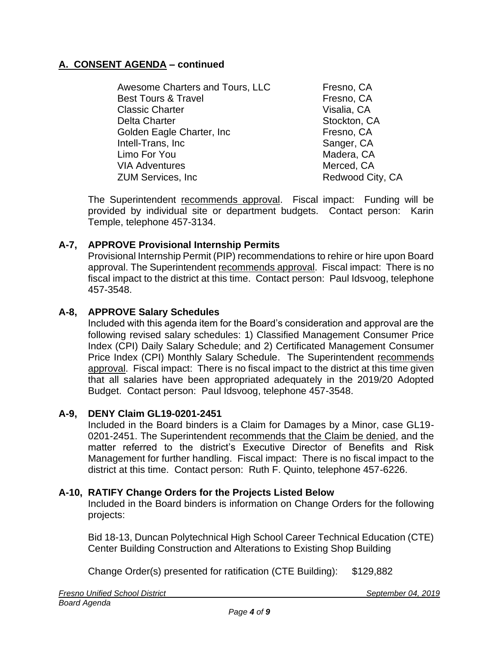Awesome Charters and Tours, LLC Fresno, CA Best Tours & Travel **Example 20** Fresno, CA Classic Charter **Visalia**, CA Delta Charter **Stockton, CA** Golden Eagle Charter, Inc **Fig. 1986** Fresno, CA Intell-Trans, Inc Sanger, CA Limo For You **Madera, CA** VIA Adventures Merced, CA ZUM Services, Inc **Redwood City**, CA

The Superintendent recommends approval. Fiscal impact: Funding will be provided by individual site or department budgets. Contact person: Karin Temple, telephone 457-3134.

# **A-7, APPROVE Provisional Internship Permits**

Provisional Internship Permit (PIP) recommendations to rehire or hire upon Board approval. The Superintendent recommends approval. Fiscal impact: There is no fiscal impact to the district at this time. Contact person: Paul Idsvoog, telephone 457-3548.

## **A-8, APPROVE Salary Schedules**

Included with this agenda item for the Board's consideration and approval are the following revised salary schedules: 1) Classified Management Consumer Price Index (CPI) Daily Salary Schedule; and 2) Certificated Management Consumer Price Index (CPI) Monthly Salary Schedule. The Superintendent recommends approval. Fiscal impact: There is no fiscal impact to the district at this time given that all salaries have been appropriated adequately in the 2019/20 Adopted Budget. Contact person: Paul Idsvoog, telephone 457-3548.

## **A-9, DENY Claim GL19-0201-2451**

Included in the Board binders is a Claim for Damages by a Minor, case GL19- 0201-2451. The Superintendent recommends that the Claim be denied, and the matter referred to the district's Executive Director of Benefits and Risk Management for further handling. Fiscal impact: There is no fiscal impact to the district at this time. Contact person: Ruth F. Quinto, telephone 457-6226.

## **A-10, RATIFY Change Orders for the Projects Listed Below**

Included in the Board binders is information on Change Orders for the following projects:

Bid 18-13, Duncan Polytechnical High School Career Technical Education (CTE) Center Building Construction and Alterations to Existing Shop Building

Change Order(s) presented for ratification (CTE Building): \$129,882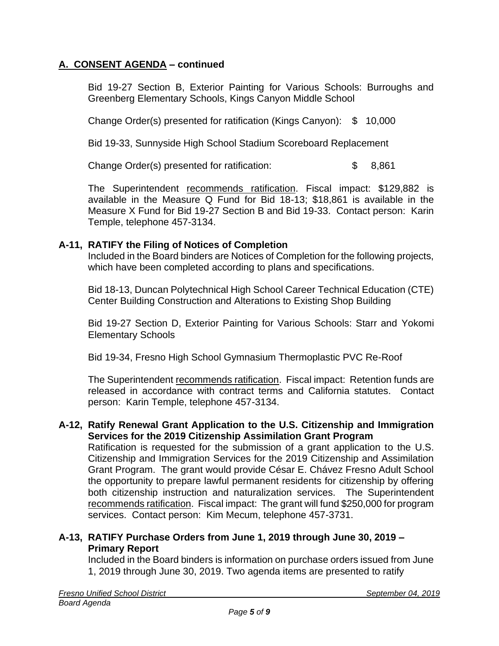Bid 19-27 Section B, Exterior Painting for Various Schools: Burroughs and Greenberg Elementary Schools, Kings Canyon Middle School

Change Order(s) presented for ratification (Kings Canyon): \$ 10,000

Bid 19-33, Sunnyside High School Stadium Scoreboard Replacement

Change Order(s) presented for ratification: \$ 8,861

The Superintendent recommends ratification. Fiscal impact: \$129,882 is available in the Measure Q Fund for Bid 18-13; \$18,861 is available in the Measure X Fund for Bid 19-27 Section B and Bid 19-33. Contact person: Karin Temple, telephone 457-3134.

#### **A-11, RATIFY the Filing of Notices of Completion**

Included in the Board binders are Notices of Completion for the following projects, which have been completed according to plans and specifications.

Bid 18-13, Duncan Polytechnical High School Career Technical Education (CTE) Center Building Construction and Alterations to Existing Shop Building

Bid 19-27 Section D, Exterior Painting for Various Schools: Starr and Yokomi Elementary Schools

Bid 19-34, Fresno High School Gymnasium Thermoplastic PVC Re-Roof

The Superintendent recommends ratification. Fiscal impact: Retention funds are released in accordance with contract terms and California statutes. Contact person: Karin Temple, telephone 457-3134.

#### **A-12, Ratify Renewal Grant Application to the U.S. Citizenship and Immigration Services for the 2019 Citizenship Assimilation Grant Program**

Ratification is requested for the submission of a grant application to the U.S. Citizenship and Immigration Services for the 2019 Citizenship and Assimilation Grant Program. The grant would provide César E. Chávez Fresno Adult School the opportunity to prepare lawful permanent residents for citizenship by offering both citizenship instruction and naturalization services. The Superintendent recommends ratification. Fiscal impact: The grant will fund \$250,000 for program services. Contact person: Kim Mecum, telephone 457-3731.

## **A-13, RATIFY Purchase Orders from June 1, 2019 through June 30, 2019 – Primary Report**

Included in the Board binders is information on purchase orders issued from June 1, 2019 through June 30, 2019. Two agenda items are presented to ratify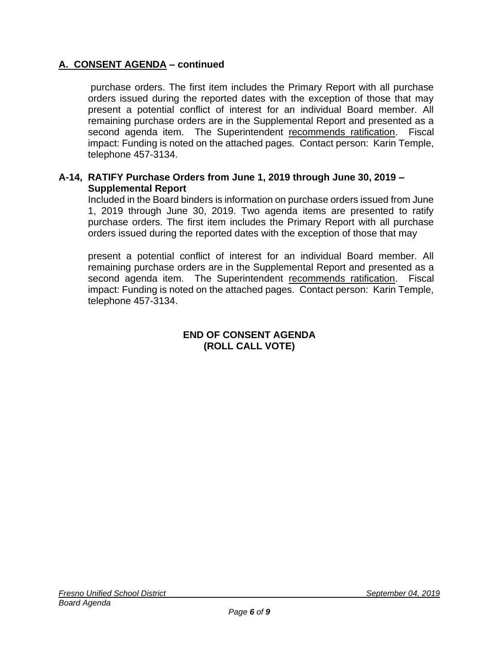purchase orders. The first item includes the Primary Report with all purchase orders issued during the reported dates with the exception of those that may present a potential conflict of interest for an individual Board member. All remaining purchase orders are in the Supplemental Report and presented as a second agenda item. The Superintendent recommends ratification. Fiscal impact: Funding is noted on the attached pages. Contact person: Karin Temple, telephone 457-3134.

## **A-14, RATIFY Purchase Orders from June 1, 2019 through June 30, 2019 – Supplemental Report**

Included in the Board binders is information on purchase orders issued from June 1, 2019 through June 30, 2019. Two agenda items are presented to ratify purchase orders. The first item includes the Primary Report with all purchase orders issued during the reported dates with the exception of those that may

present a potential conflict of interest for an individual Board member. All remaining purchase orders are in the Supplemental Report and presented as a second agenda item. The Superintendent recommends ratification. Fiscal impact: Funding is noted on the attached pages. Contact person: Karin Temple, telephone 457-3134.

## **END OF CONSENT AGENDA (ROLL CALL VOTE)**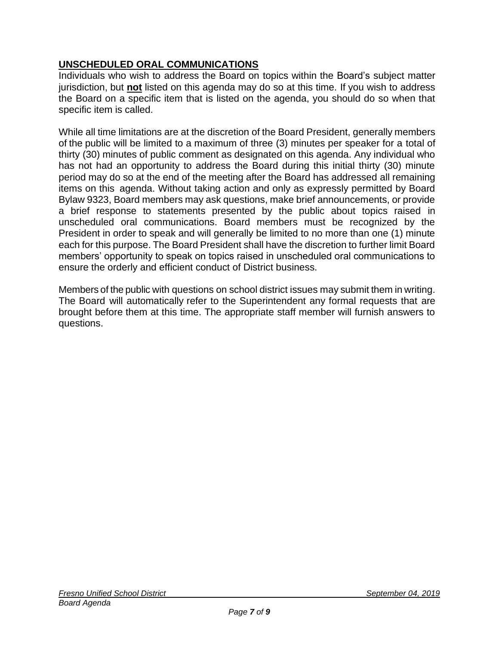# **UNSCHEDULED ORAL COMMUNICATIONS**

Individuals who wish to address the Board on topics within the Board's subject matter jurisdiction, but **not** listed on this agenda may do so at this time. If you wish to address the Board on a specific item that is listed on the agenda, you should do so when that specific item is called.

While all time limitations are at the discretion of the Board President, generally members of the public will be limited to a maximum of three (3) minutes per speaker for a total of thirty (30) minutes of public comment as designated on this agenda. Any individual who has not had an opportunity to address the Board during this initial thirty (30) minute period may do so at the end of the meeting after the Board has addressed all remaining items on this agenda. Without taking action and only as expressly permitted by Board Bylaw 9323, Board members may ask questions, make brief announcements, or provide a brief response to statements presented by the public about topics raised in unscheduled oral communications. Board members must be recognized by the President in order to speak and will generally be limited to no more than one (1) minute each for this purpose. The Board President shall have the discretion to further limit Board members' opportunity to speak on topics raised in unscheduled oral communications to ensure the orderly and efficient conduct of District business.

Members of the public with questions on school district issues may submit them in writing. The Board will automatically refer to the Superintendent any formal requests that are brought before them at this time. The appropriate staff member will furnish answers to questions.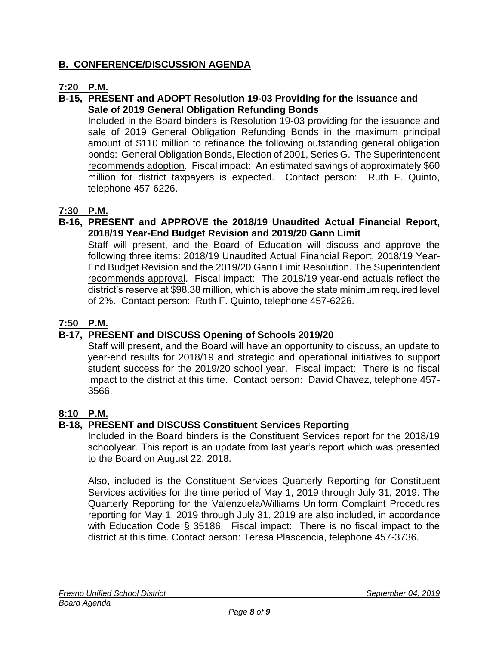# **B. CONFERENCE/DISCUSSION AGENDA**

# **7:20 P.M.**

#### **B-15, PRESENT and ADOPT Resolution 19-03 Providing for the Issuance and Sale of 2019 General Obligation Refunding Bonds**

Included in the Board binders is Resolution 19-03 providing for the issuance and sale of 2019 General Obligation Refunding Bonds in the maximum principal amount of \$110 million to refinance the following outstanding general obligation bonds: General Obligation Bonds, Election of 2001, Series G. The Superintendent recommends adoption. Fiscal impact: An estimated savings of approximately \$60 million for district taxpayers is expected. Contact person: Ruth F. Quinto, telephone 457-6226.

# **7:30 P.M.**

### **B-16, PRESENT and APPROVE the 2018/19 Unaudited Actual Financial Report, 2018/19 Year-End Budget Revision and 2019/20 Gann Limit**

Staff will present, and the Board of Education will discuss and approve the following three items: 2018/19 Unaudited Actual Financial Report, 2018/19 Year-End Budget Revision and the 2019/20 Gann Limit Resolution. The Superintendent recommends approval. Fiscal impact: The 2018/19 year-end actuals reflect the district's reserve at \$98.38 million, which is above the state minimum required level of 2%. Contact person: Ruth F. Quinto, telephone 457-6226.

## **7:50 P.M.**

## **B-17, PRESENT and DISCUSS Opening of Schools 2019/20**

Staff will present, and the Board will have an opportunity to discuss, an update to year-end results for 2018/19 and strategic and operational initiatives to support student success for the 2019/20 school year. Fiscal impact: There is no fiscal impact to the district at this time. Contact person: David Chavez, telephone 457- 3566.

## **8:10 P.M.**

## **B-18, PRESENT and DISCUSS Constituent Services Reporting**

Included in the Board binders is the Constituent Services report for the 2018/19 schoolyear. This report is an update from last year's report which was presented to the Board on August 22, 2018.

Also, included is the Constituent Services Quarterly Reporting for Constituent Services activities for the time period of May 1, 2019 through July 31, 2019. The Quarterly Reporting for the Valenzuela/Williams Uniform Complaint Procedures reporting for May 1, 2019 through July 31, 2019 are also included, in accordance with Education Code § 35186. Fiscal impact: There is no fiscal impact to the district at this time. Contact person: Teresa Plascencia, telephone 457-3736.